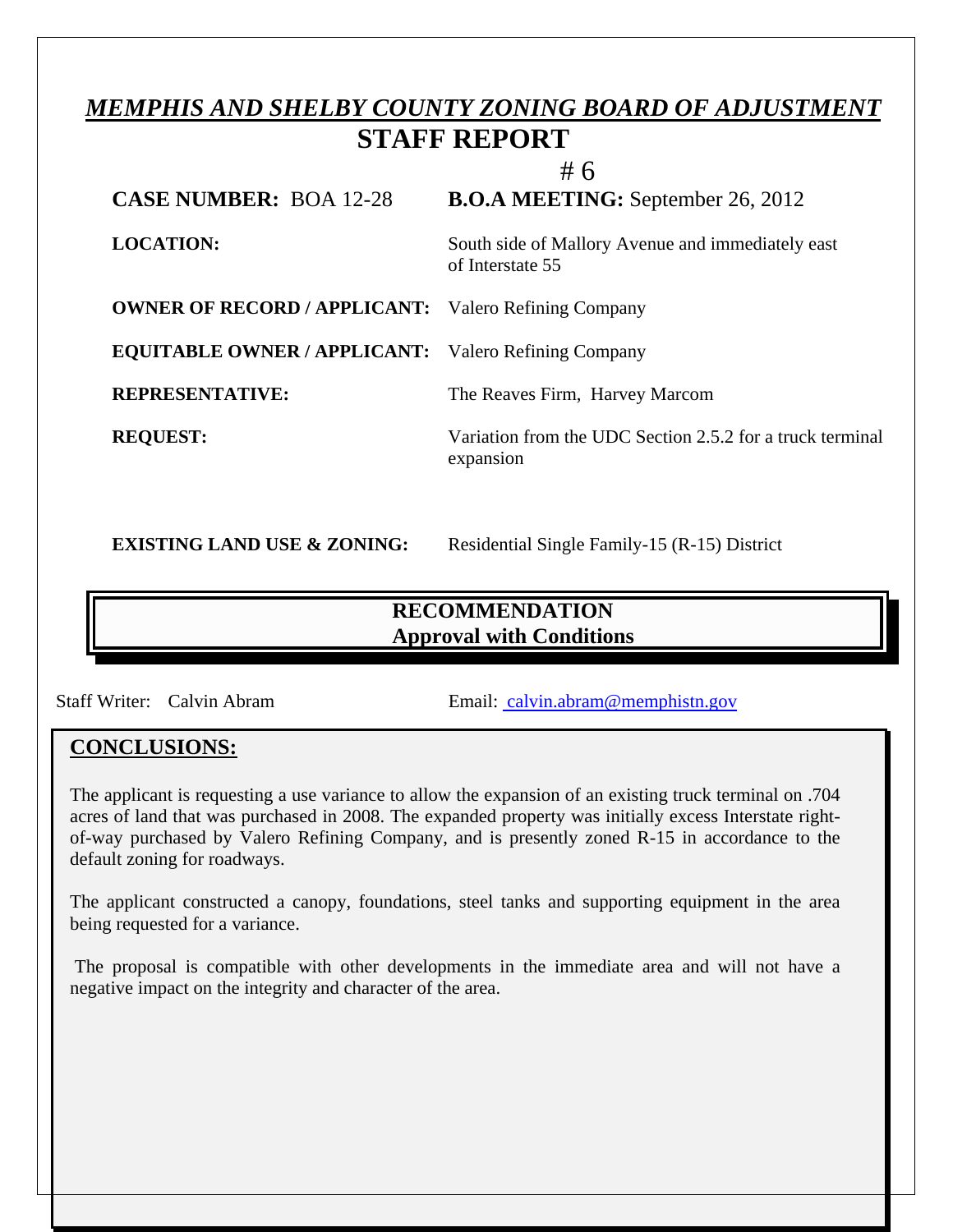# *MEMPHIS AND SHELBY COUNTY ZONING BOARD OF ADJUSTMENT*  **STAFF REPORT**

|                                                             | #6                                                                     |
|-------------------------------------------------------------|------------------------------------------------------------------------|
| <b>CASE NUMBER: BOA 12-28</b>                               | <b>B.O.A MEETING:</b> September 26, 2012                               |
| <b>LOCATION:</b>                                            | South side of Mallory Avenue and immediately east<br>of Interstate 55  |
| <b>OWNER OF RECORD / APPLICANT:</b> Valero Refining Company |                                                                        |
| <b>EQUITABLE OWNER / APPLICANT:</b> Valero Refining Company |                                                                        |
| <b>REPRESENTATIVE:</b>                                      | The Reaves Firm, Harvey Marcom                                         |
| <b>REQUEST:</b>                                             | Variation from the UDC Section 2.5.2 for a truck terminal<br>expansion |

**EXISTING LAND USE & ZONING:** Residential Single Family-15 (R-15) District

# **RECOMMENDATION Approval with Conditions**

 $\overline{a}$ 

Staff Writer: Calvin Abram Email: [calvin.abram@memphistn.gov](mailto:%20calvin.abram@memphistn.gov)

## **CONCLUSIONS:**

l

The applicant is requesting a use variance to allow the expansion of an existing truck terminal on .704 acres of land that was purchased in 2008. The expanded property was initially excess Interstate rightof-way purchased by Valero Refining Company, and is presently zoned R-15 in accordance to the default zoning for roadways.

The applicant constructed a canopy, foundations, steel tanks and supporting equipment in the area being requested for a variance.

 The proposal is compatible with other developments in the immediate area and will not have a negative impact on the integrity and character of the area.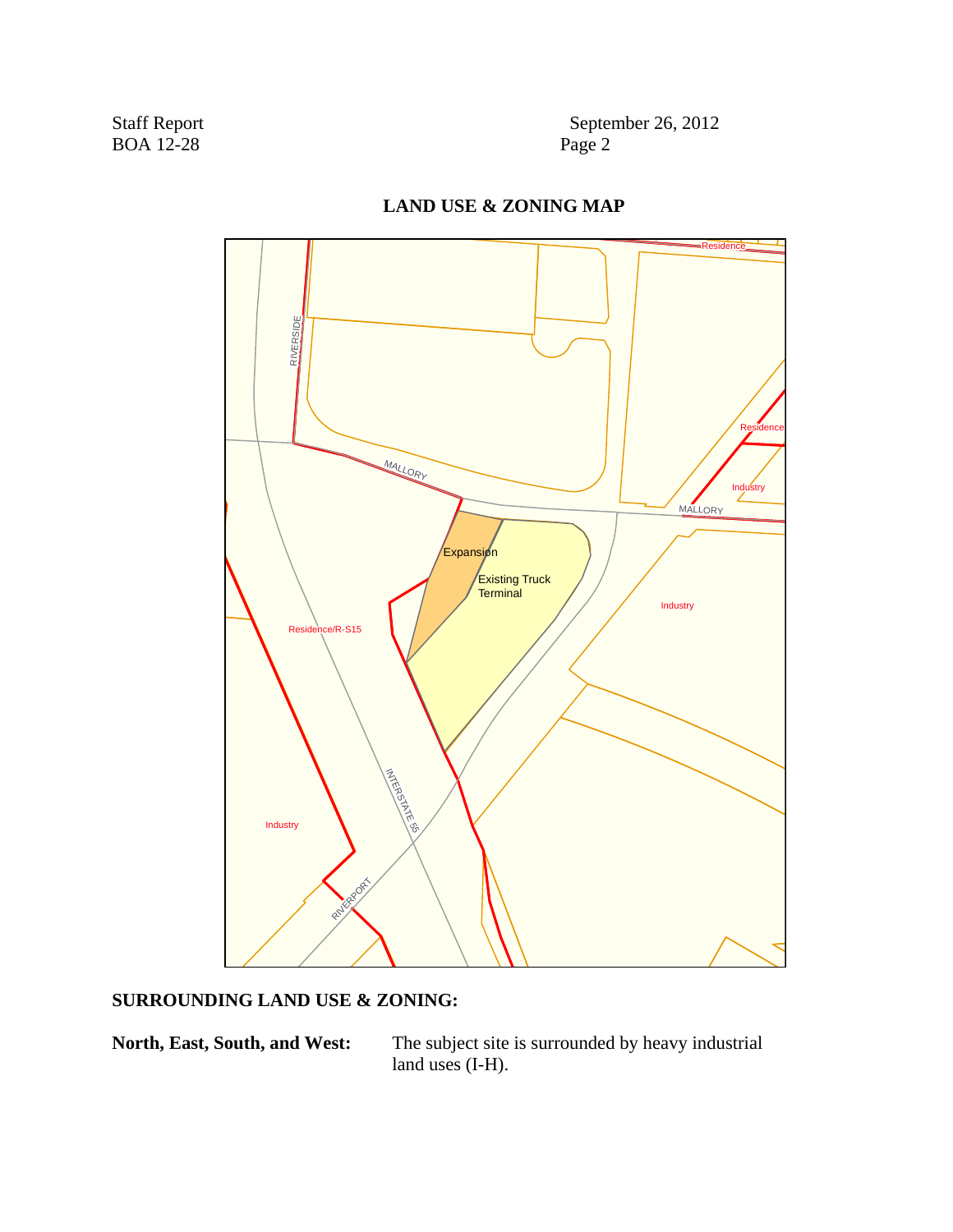Staff Report September 26, 2012<br>BOA 12-28 Page 2



## **LAND USE & ZONING MAP**

### **SURROUNDING LAND USE & ZONING:**

North, East, South, and West: The subject site is surrounded by heavy industrial land uses (I-H).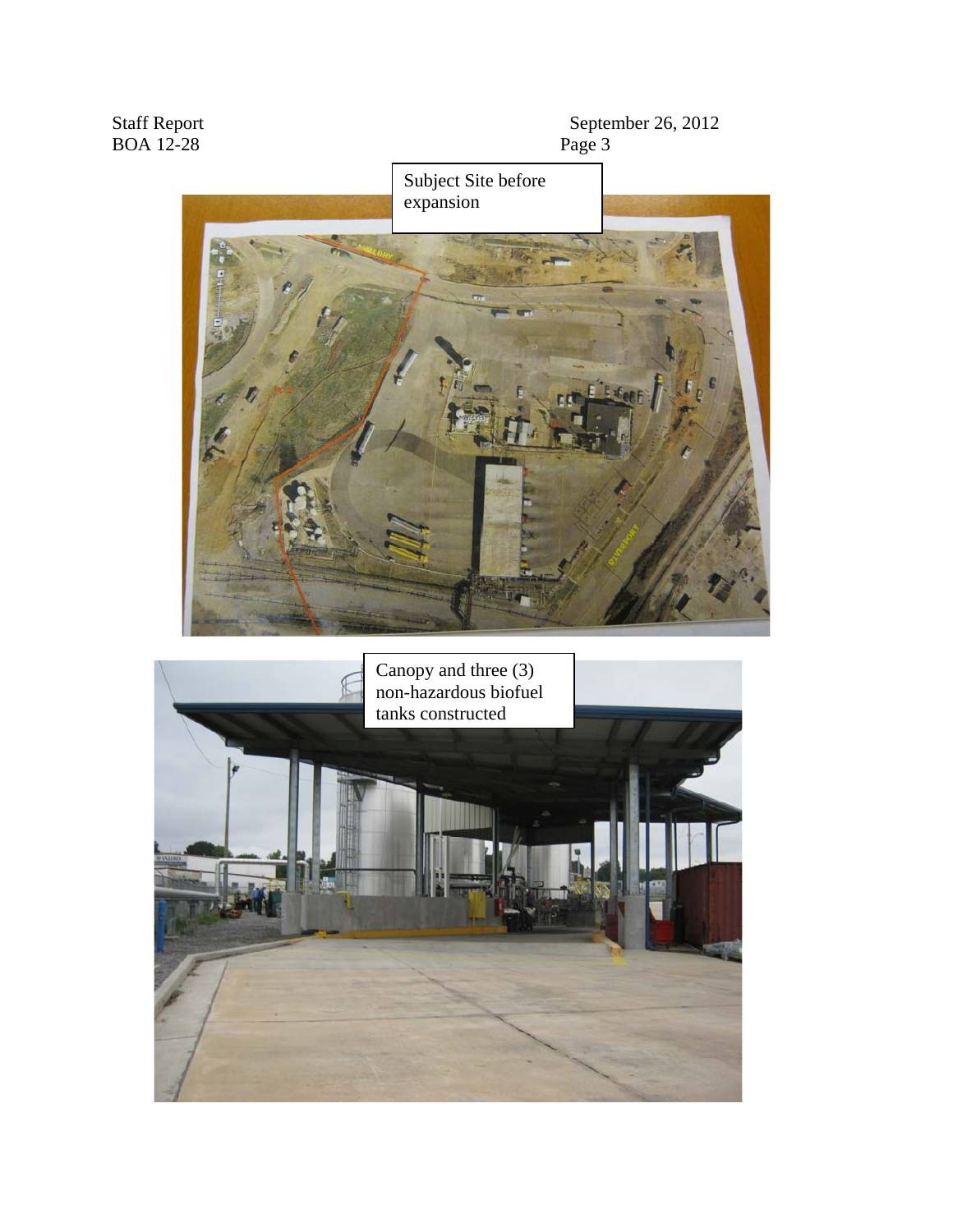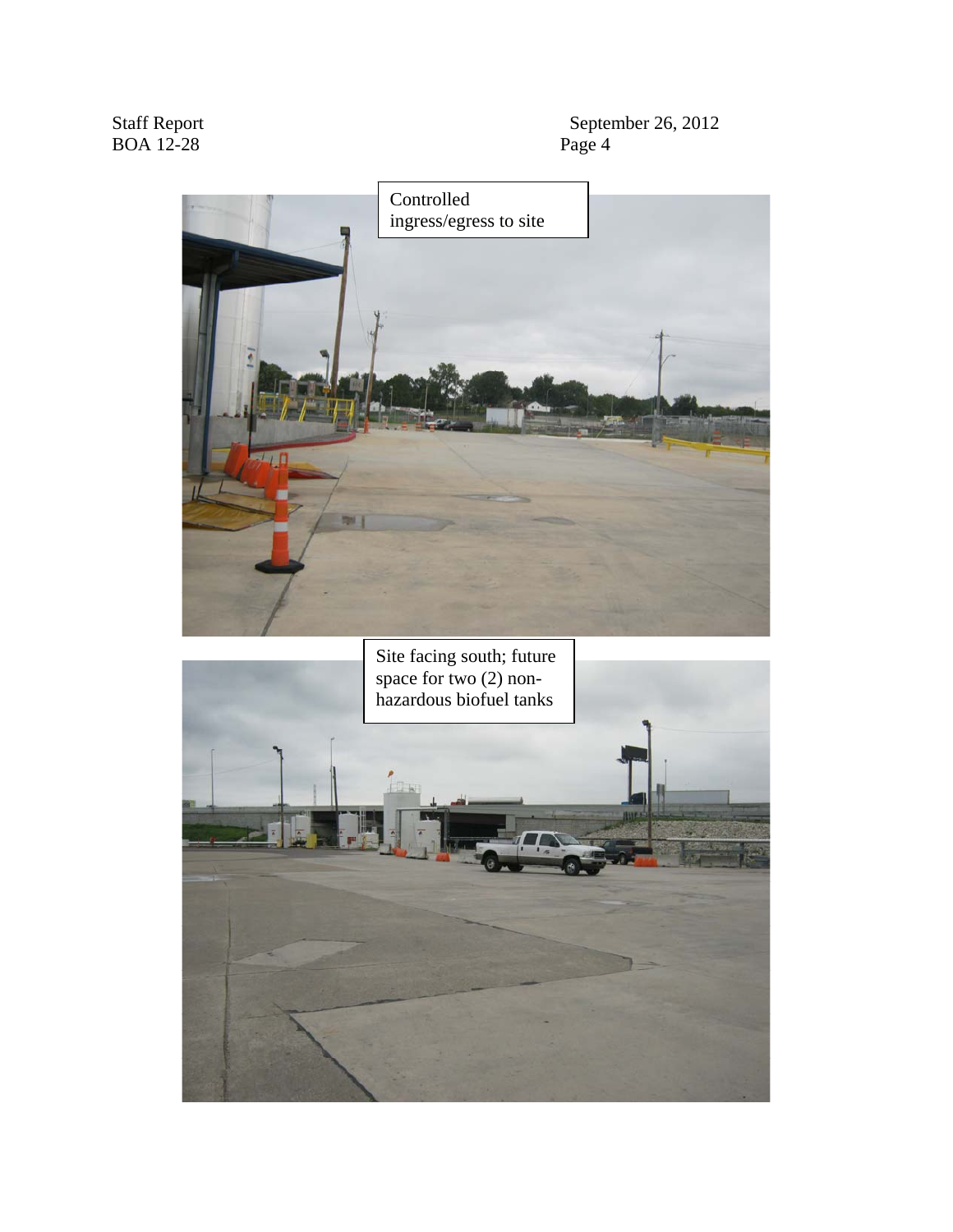September 26, 2012<br>Page 4



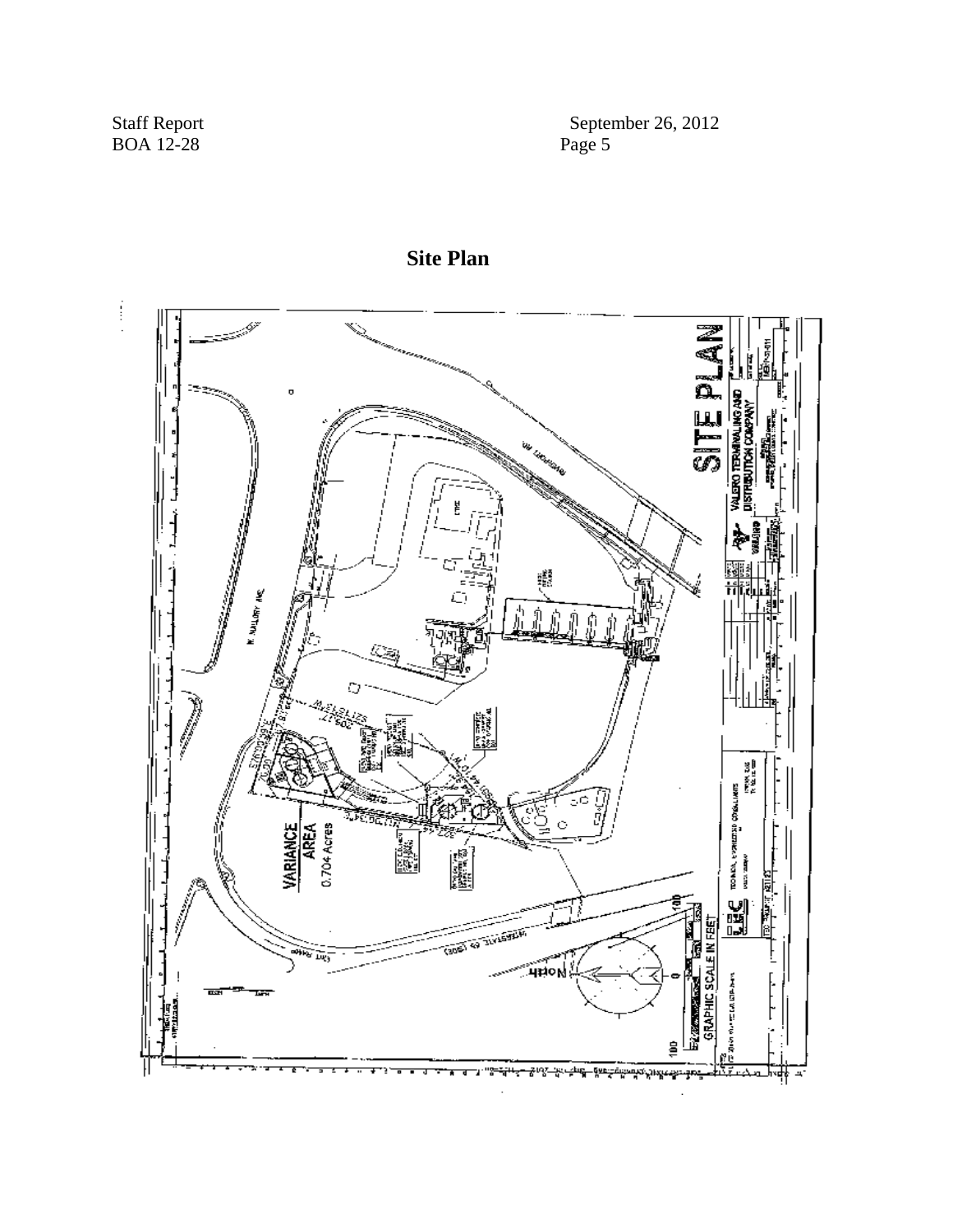September 26, 2012<br>Page 5



**Site Plan**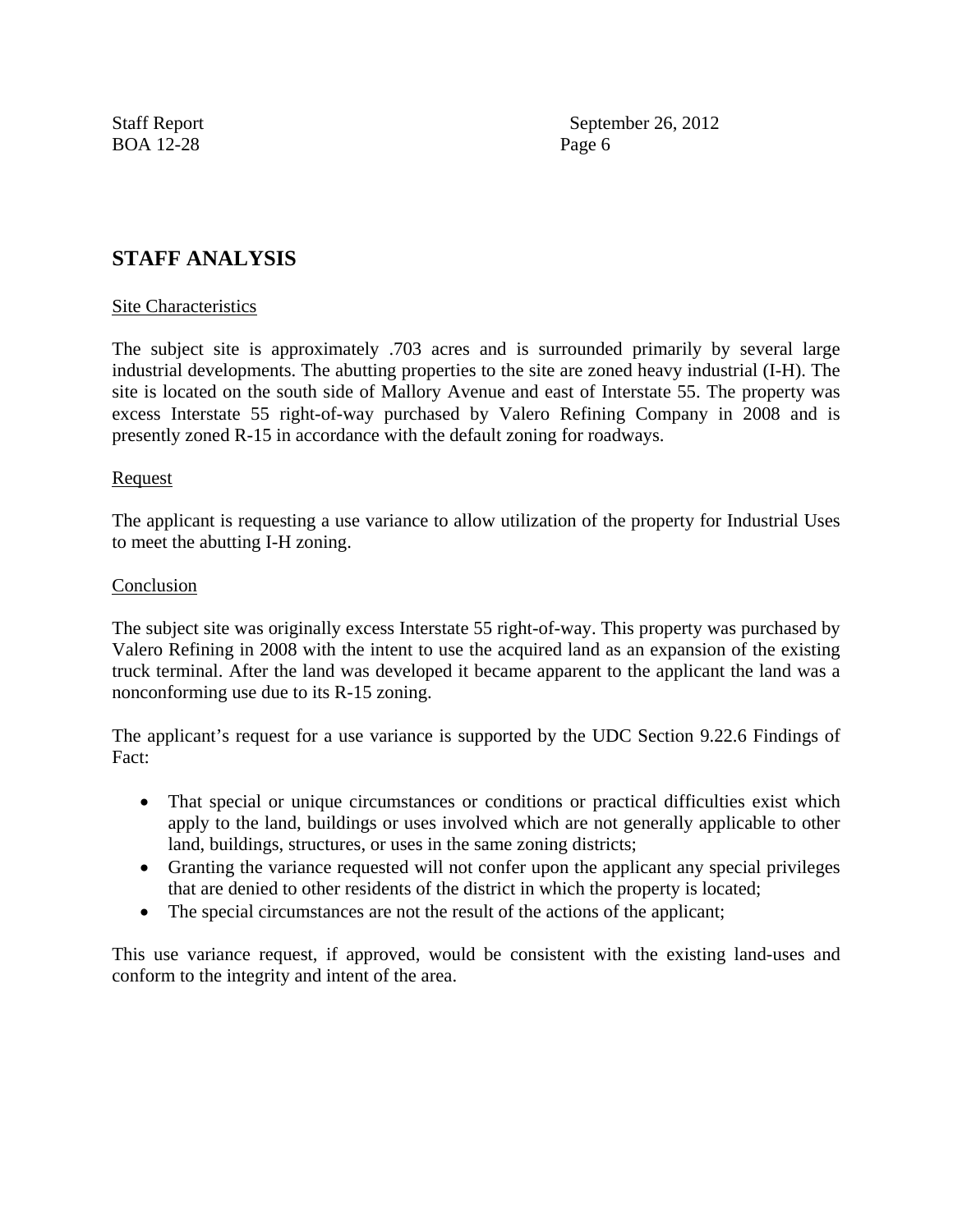BOA 12-28 Page 6

Staff Report September 26, 2012

## **STAFF ANALYSIS**

#### Site Characteristics

The subject site is approximately .703 acres and is surrounded primarily by several large industrial developments. The abutting properties to the site are zoned heavy industrial (I-H). The site is located on the south side of Mallory Avenue and east of Interstate 55. The property was excess Interstate 55 right-of-way purchased by Valero Refining Company in 2008 and is presently zoned R-15 in accordance with the default zoning for roadways.

#### Request

The applicant is requesting a use variance to allow utilization of the property for Industrial Uses to meet the abutting I-H zoning.

#### Conclusion

The subject site was originally excess Interstate 55 right-of-way. This property was purchased by Valero Refining in 2008 with the intent to use the acquired land as an expansion of the existing truck terminal. After the land was developed it became apparent to the applicant the land was a nonconforming use due to its R-15 zoning.

The applicant's request for a use variance is supported by the UDC Section 9.22.6 Findings of Fact:

- That special or unique circumstances or conditions or practical difficulties exist which apply to the land, buildings or uses involved which are not generally applicable to other land, buildings, structures, or uses in the same zoning districts;
- Granting the variance requested will not confer upon the applicant any special privileges that are denied to other residents of the district in which the property is located;
- The special circumstances are not the result of the actions of the applicant;

This use variance request, if approved, would be consistent with the existing land-uses and conform to the integrity and intent of the area.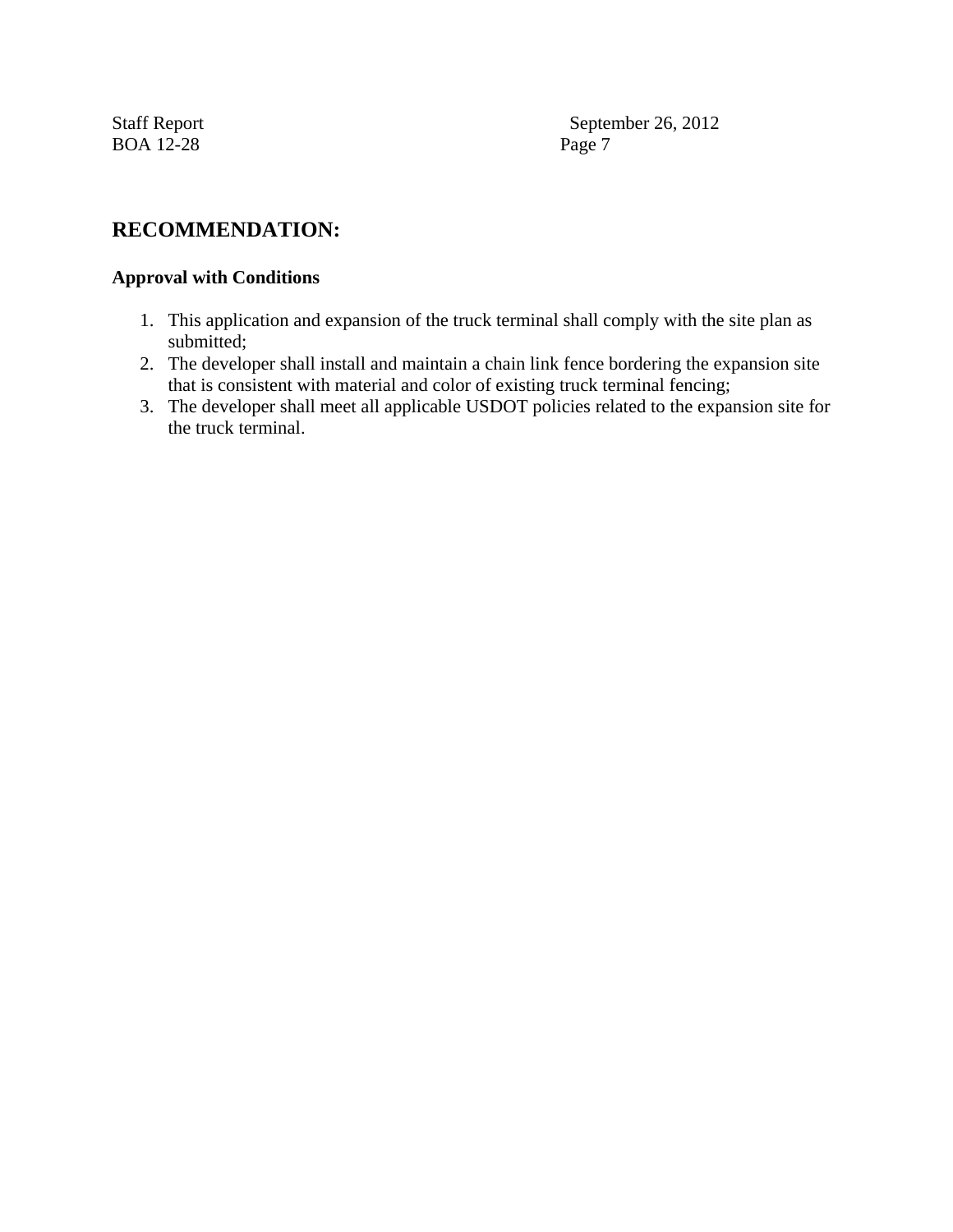BOA 12-28 Page 7

Staff Report September 26, 2012

## **RECOMMENDATION:**

## **Approval with Conditions**

- 1. This application and expansion of the truck terminal shall comply with the site plan as submitted;
- 2. The developer shall install and maintain a chain link fence bordering the expansion site that is consistent with material and color of existing truck terminal fencing;
- 3. The developer shall meet all applicable USDOT policies related to the expansion site for the truck terminal.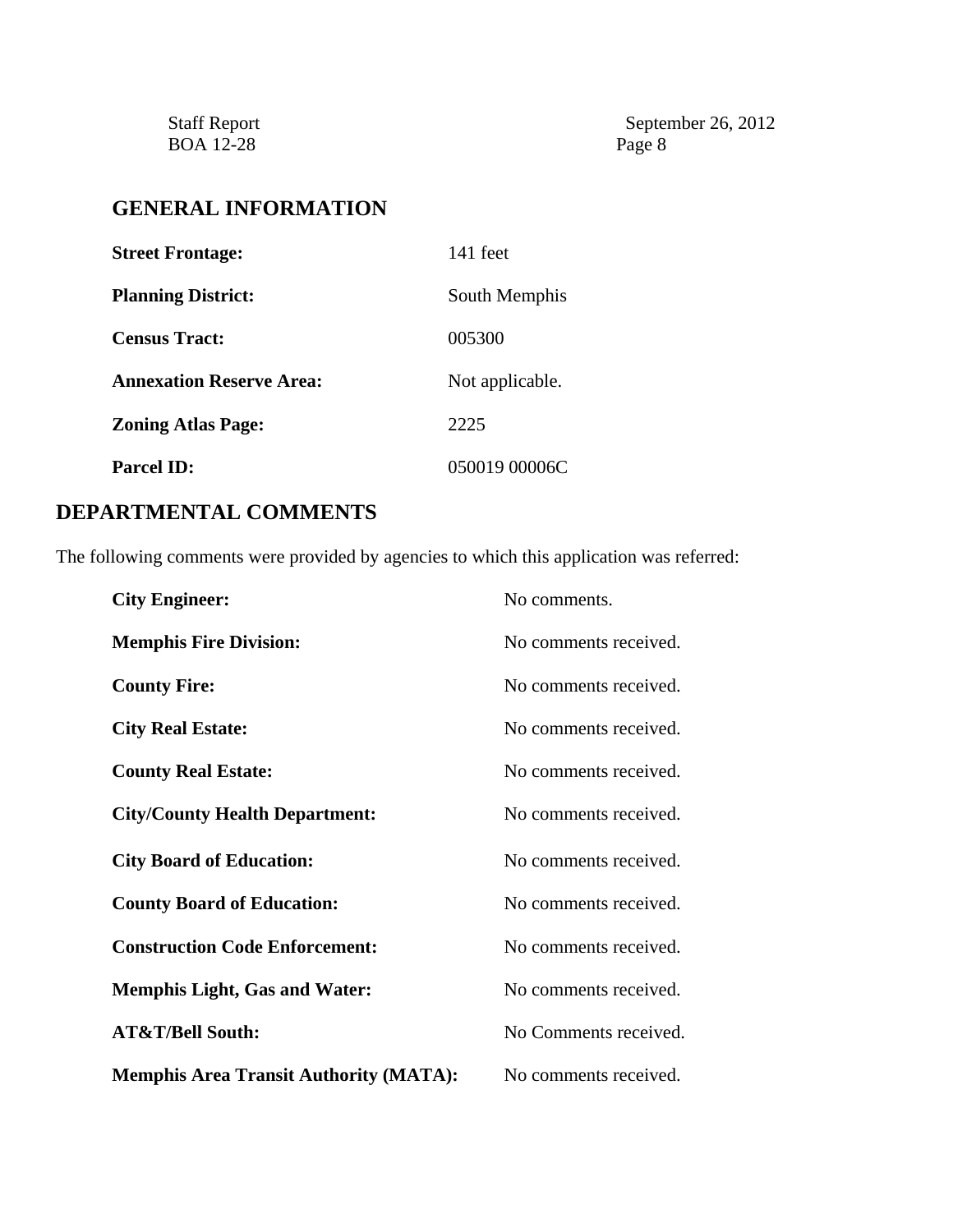Staff Report<br>BOA 12-28

September 26, 2012<br>Page 8

# **GENERAL INFORMATION**

| <b>Street Frontage:</b>         | $141$ feet      |
|---------------------------------|-----------------|
| <b>Planning District:</b>       | South Memphis   |
| <b>Census Tract:</b>            | 005300          |
| <b>Annexation Reserve Area:</b> | Not applicable. |
| <b>Zoning Atlas Page:</b>       | 2225            |
| <b>Parcel ID:</b>               | 050019 00006C   |

# **DEPARTMENTAL COMMENTS**

The following comments were provided by agencies to which this application was referred:

| <b>City Engineer:</b>                         | No comments.          |
|-----------------------------------------------|-----------------------|
| <b>Memphis Fire Division:</b>                 | No comments received. |
| <b>County Fire:</b>                           | No comments received. |
| <b>City Real Estate:</b>                      | No comments received. |
| <b>County Real Estate:</b>                    | No comments received. |
| <b>City/County Health Department:</b>         | No comments received. |
| <b>City Board of Education:</b>               | No comments received. |
| <b>County Board of Education:</b>             | No comments received. |
| <b>Construction Code Enforcement:</b>         | No comments received. |
| <b>Memphis Light, Gas and Water:</b>          | No comments received. |
| <b>AT&amp;T/Bell South:</b>                   | No Comments received. |
| <b>Memphis Area Transit Authority (MATA):</b> | No comments received. |